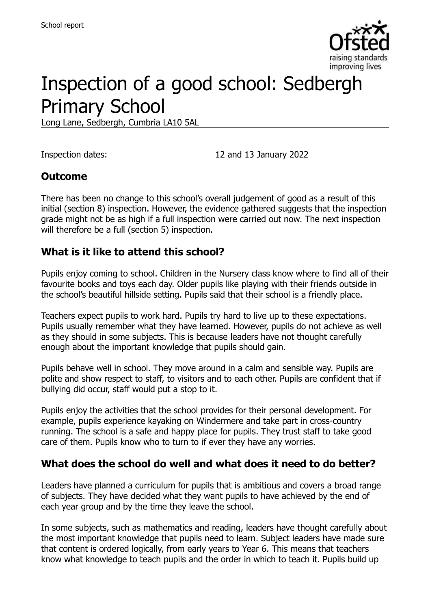

# Inspection of a good school: Sedbergh Primary School

Long Lane, Sedbergh, Cumbria LA10 5AL

Inspection dates: 12 and 13 January 2022

#### **Outcome**

There has been no change to this school's overall judgement of good as a result of this initial (section 8) inspection. However, the evidence gathered suggests that the inspection grade might not be as high if a full inspection were carried out now. The next inspection will therefore be a full (section 5) inspection.

#### **What is it like to attend this school?**

Pupils enjoy coming to school. Children in the Nursery class know where to find all of their favourite books and toys each day. Older pupils like playing with their friends outside in the school's beautiful hillside setting. Pupils said that their school is a friendly place.

Teachers expect pupils to work hard. Pupils try hard to live up to these expectations. Pupils usually remember what they have learned. However, pupils do not achieve as well as they should in some subjects. This is because leaders have not thought carefully enough about the important knowledge that pupils should gain.

Pupils behave well in school. They move around in a calm and sensible way. Pupils are polite and show respect to staff, to visitors and to each other. Pupils are confident that if bullying did occur, staff would put a stop to it.

Pupils enjoy the activities that the school provides for their personal development. For example, pupils experience kayaking on Windermere and take part in cross-country running. The school is a safe and happy place for pupils. They trust staff to take good care of them. Pupils know who to turn to if ever they have any worries.

#### **What does the school do well and what does it need to do better?**

Leaders have planned a curriculum for pupils that is ambitious and covers a broad range of subjects. They have decided what they want pupils to have achieved by the end of each year group and by the time they leave the school.

In some subjects, such as mathematics and reading, leaders have thought carefully about the most important knowledge that pupils need to learn. Subject leaders have made sure that content is ordered logically, from early years to Year 6. This means that teachers know what knowledge to teach pupils and the order in which to teach it. Pupils build up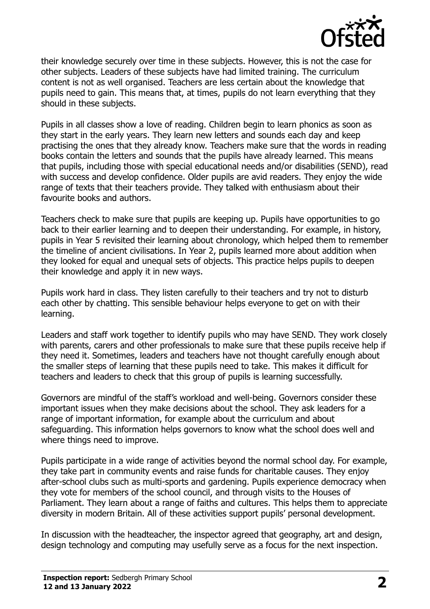

their knowledge securely over time in these subjects. However, this is not the case for other subjects. Leaders of these subjects have had limited training. The curriculum content is not as well organised. Teachers are less certain about the knowledge that pupils need to gain. This means that, at times, pupils do not learn everything that they should in these subjects.

Pupils in all classes show a love of reading. Children begin to learn phonics as soon as they start in the early years. They learn new letters and sounds each day and keep practising the ones that they already know. Teachers make sure that the words in reading books contain the letters and sounds that the pupils have already learned. This means that pupils, including those with special educational needs and/or disabilities (SEND), read with success and develop confidence. Older pupils are avid readers. They enjoy the wide range of texts that their teachers provide. They talked with enthusiasm about their favourite books and authors.

Teachers check to make sure that pupils are keeping up. Pupils have opportunities to go back to their earlier learning and to deepen their understanding. For example, in history, pupils in Year 5 revisited their learning about chronology, which helped them to remember the timeline of ancient civilisations. In Year 2, pupils learned more about addition when they looked for equal and unequal sets of objects. This practice helps pupils to deepen their knowledge and apply it in new ways.

Pupils work hard in class. They listen carefully to their teachers and try not to disturb each other by chatting. This sensible behaviour helps everyone to get on with their learning.

Leaders and staff work together to identify pupils who may have SEND. They work closely with parents, carers and other professionals to make sure that these pupils receive help if they need it. Sometimes, leaders and teachers have not thought carefully enough about the smaller steps of learning that these pupils need to take. This makes it difficult for teachers and leaders to check that this group of pupils is learning successfully.

Governors are mindful of the staff's workload and well-being. Governors consider these important issues when they make decisions about the school. They ask leaders for a range of important information, for example about the curriculum and about safeguarding. This information helps governors to know what the school does well and where things need to improve.

Pupils participate in a wide range of activities beyond the normal school day. For example, they take part in community events and raise funds for charitable causes. They enjoy after-school clubs such as multi-sports and gardening. Pupils experience democracy when they vote for members of the school council, and through visits to the Houses of Parliament. They learn about a range of faiths and cultures. This helps them to appreciate diversity in modern Britain. All of these activities support pupils' personal development.

In discussion with the headteacher, the inspector agreed that geography, art and design, design technology and computing may usefully serve as a focus for the next inspection.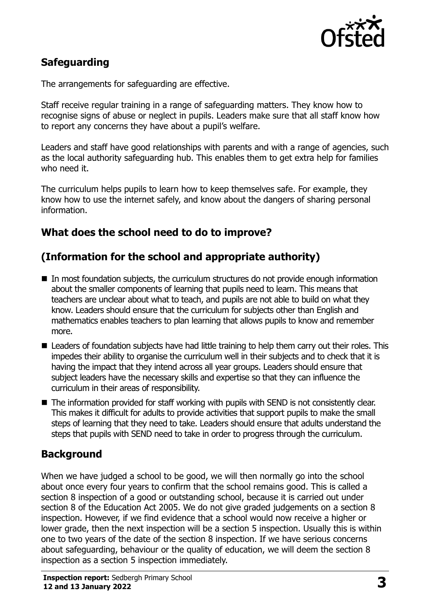

# **Safeguarding**

The arrangements for safeguarding are effective.

Staff receive regular training in a range of safeguarding matters. They know how to recognise signs of abuse or neglect in pupils. Leaders make sure that all staff know how to report any concerns they have about a pupil's welfare.

Leaders and staff have good relationships with parents and with a range of agencies, such as the local authority safeguarding hub. This enables them to get extra help for families who need it.

The curriculum helps pupils to learn how to keep themselves safe. For example, they know how to use the internet safely, and know about the dangers of sharing personal information.

# **What does the school need to do to improve?**

# **(Information for the school and appropriate authority)**

- In most foundation subjects, the curriculum structures do not provide enough information about the smaller components of learning that pupils need to learn. This means that teachers are unclear about what to teach, and pupils are not able to build on what they know. Leaders should ensure that the curriculum for subjects other than English and mathematics enables teachers to plan learning that allows pupils to know and remember more.
- Leaders of foundation subjects have had little training to help them carry out their roles. This impedes their ability to organise the curriculum well in their subjects and to check that it is having the impact that they intend across all year groups. Leaders should ensure that subject leaders have the necessary skills and expertise so that they can influence the curriculum in their areas of responsibility.
- The information provided for staff working with pupils with SEND is not consistently clear. This makes it difficult for adults to provide activities that support pupils to make the small steps of learning that they need to take. Leaders should ensure that adults understand the steps that pupils with SEND need to take in order to progress through the curriculum.

# **Background**

When we have judged a school to be good, we will then normally go into the school about once every four years to confirm that the school remains good. This is called a section 8 inspection of a good or outstanding school, because it is carried out under section 8 of the Education Act 2005. We do not give graded judgements on a section 8 inspection. However, if we find evidence that a school would now receive a higher or lower grade, then the next inspection will be a section 5 inspection. Usually this is within one to two years of the date of the section 8 inspection. If we have serious concerns about safeguarding, behaviour or the quality of education, we will deem the section 8 inspection as a section 5 inspection immediately.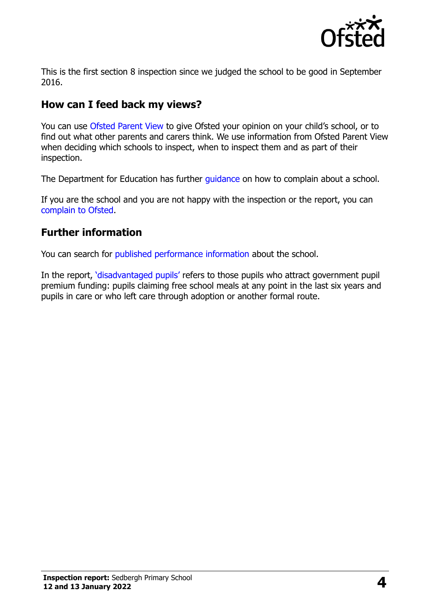

This is the first section 8 inspection since we judged the school to be good in September 2016.

# **How can I feed back my views?**

You can use [Ofsted Parent View](https://parentview.ofsted.gov.uk/) to give Ofsted your opinion on your child's school, or to find out what other parents and carers think. We use information from Ofsted Parent View when deciding which schools to inspect, when to inspect them and as part of their inspection.

The Department for Education has further quidance on how to complain about a school.

If you are the school and you are not happy with the inspection or the report, you can [complain to Ofsted.](https://www.gov.uk/complain-ofsted-report)

#### **Further information**

You can search for [published performance information](http://www.compare-school-performance.service.gov.uk/) about the school.

In the report, '[disadvantaged pupils](http://www.gov.uk/guidance/pupil-premium-information-for-schools-and-alternative-provision-settings)' refers to those pupils who attract government pupil premium funding: pupils claiming free school meals at any point in the last six years and pupils in care or who left care through adoption or another formal route.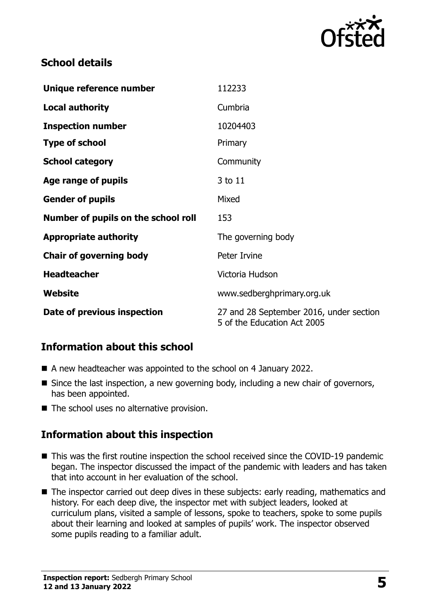

#### **School details**

| Unique reference number             | 112233                                                                 |
|-------------------------------------|------------------------------------------------------------------------|
| <b>Local authority</b>              | Cumbria                                                                |
| <b>Inspection number</b>            | 10204403                                                               |
| <b>Type of school</b>               | Primary                                                                |
| <b>School category</b>              | Community                                                              |
| Age range of pupils                 | 3 to 11                                                                |
| <b>Gender of pupils</b>             | Mixed                                                                  |
| Number of pupils on the school roll | 153                                                                    |
| <b>Appropriate authority</b>        | The governing body                                                     |
| <b>Chair of governing body</b>      | Peter Irvine                                                           |
| <b>Headteacher</b>                  | Victoria Hudson                                                        |
| Website                             | www.sedberghprimary.org.uk                                             |
| Date of previous inspection         | 27 and 28 September 2016, under section<br>5 of the Education Act 2005 |

# **Information about this school**

- A new headteacher was appointed to the school on 4 January 2022.
- Since the last inspection, a new governing body, including a new chair of governors, has been appointed.
- The school uses no alternative provision.

#### **Information about this inspection**

- This was the first routine inspection the school received since the COVID-19 pandemic began. The inspector discussed the impact of the pandemic with leaders and has taken that into account in her evaluation of the school.
- The inspector carried out deep dives in these subjects: early reading, mathematics and history. For each deep dive, the inspector met with subject leaders, looked at curriculum plans, visited a sample of lessons, spoke to teachers, spoke to some pupils about their learning and looked at samples of pupils' work. The inspector observed some pupils reading to a familiar adult.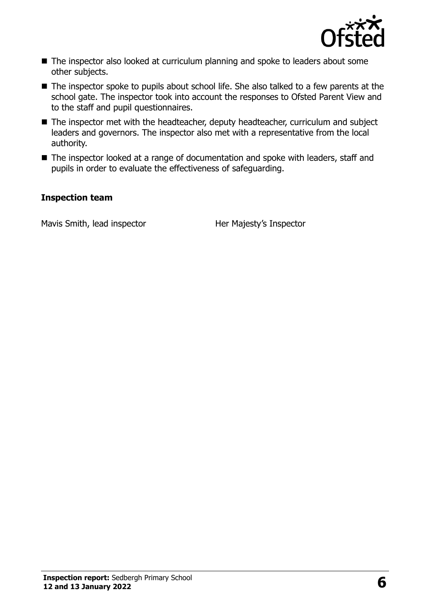

- The inspector also looked at curriculum planning and spoke to leaders about some other subjects.
- The inspector spoke to pupils about school life. She also talked to a few parents at the school gate. The inspector took into account the responses to Ofsted Parent View and to the staff and pupil questionnaires.
- The inspector met with the headteacher, deputy headteacher, curriculum and subject leaders and governors. The inspector also met with a representative from the local authority.
- The inspector looked at a range of documentation and spoke with leaders, staff and pupils in order to evaluate the effectiveness of safeguarding.

#### **Inspection team**

Mavis Smith, lead inspector **Her Majesty's Inspector**